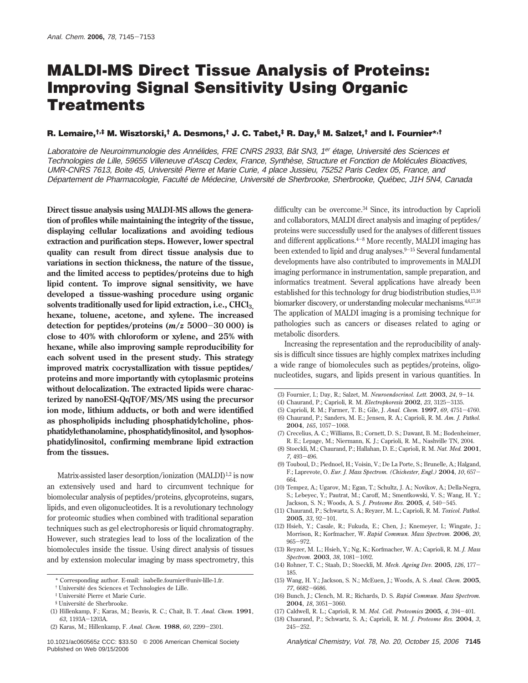# **MALDI-MS Direct Tissue Analysis of Proteins: Improving Signal Sensitivity Using Organic Treatments**

## **R. Lemaire,†,‡ M. Wisztorski,† A. Desmons,† J. C. Tabet,‡ R. Day,§ M. Salzet,† and I. Fournier\*,†**

Laboratoire de Neuroimmunologie des Annélides, FRE CNRS 2933, Bât SN3, 1<sup>er</sup> étage, Université des Sciences et Technologies de Lille, 59655 Villeneuve d'Ascq Cedex, France, Synthèse, Structure et Fonction de Molécules Bioactives, UMR-CNRS 7613, Boite 45, Université Pierre et Marie Curie, 4 place Jussieu, 75252 Paris Cedex 05, France, and Département de Pharmacologie, Faculté de Médecine, Université de Sherbrooke, Sherbrooke, Québec, J1H 5N4, Canada

**Direct tissue analysis using MALDI-MS allows the generation of profiles while maintaining the integrity of the tissue, displaying cellular localizations and avoiding tedious extraction and purification steps. However, lower spectral quality can result from direct tissue analysis due to variations in section thickness, the nature of the tissue, and the limited access to peptides/proteins due to high lipid content. To improve signal sensitivity, we have developed a tissue-washing procedure using organic solvents traditionally used for lipid extraction, i.e., CHCl3, hexane, toluene, acetone, and xylene. The increased** detection for peptides/proteins  $(m/z)$  5000-30 000) is **close to 40% with chloroform or xylene, and 25% with hexane, while also improving sample reproducibility for each solvent used in the present study. This strategy improved matrix cocrystallization with tissue peptides/ proteins and more importantly with cytoplasmic proteins without delocalization. The extracted lipids were characterized by nanoESI-QqTOF/MS/MS using the precursor ion mode, lithium adducts, or both and were identified as phospholipids including phosphatidylcholine, phosphatidylethanolamine, phosphatidylinositol, and lysophosphatidylinositol, confirming membrane lipid extraction from the tissues.**

Matrix-assisted laser desorption/ionization  $(MALDD<sup>1,2</sup>$  is now an extensively used and hard to circumvent technique for biomolecular analysis of peptides/proteins, glycoproteins, sugars, lipids, and even oligonucleotides. It is a revolutionary technology for proteomic studies when combined with traditional separation techniques such as gel electrophoresis or liquid chromatography. However, such strategies lead to loss of the localization of the biomolecules inside the tissue. Using direct analysis of tissues and by extension molecular imaging by mass spectrometry, this difficulty can be overcome.34 Since, its introduction by Caprioli and collaborators, MALDI direct analysis and imaging of peptides/ proteins were successfully used for the analyses of different tissues and different applications.4-<sup>8</sup> More recently, MALDI imaging has been extended to lipid and drug analyses. $9-15$  Several fundamental developments have also contributed to improvements in MALDI imaging performance in instrumentation, sample preparation, and informatics treatment. Several applications have already been established for this technology for drug biodistribution studies, 13,16 biomarker discovery, or understanding molecular mechanisms.4,6,17,18 The application of MALDI imaging is a promising technique for pathologies such as cancers or diseases related to aging or metabolic disorders.

Increasing the representation and the reproducibility of analysis is difficult since tissues are highly complex matrixes including a wide range of biomolecules such as peptides/proteins, oligonucleotides, sugars, and lipids present in various quantities. In

- (4) Chaurand, P.; Caprioli, R. M. *Electrophoresis* **<sup>2002</sup>**, *<sup>23</sup>*, 3125-3135.
- (5) Caprioli, R. M.; Farmer, T. B.; Gile, J. *Anal. Chem.* **<sup>1997</sup>**, *<sup>69</sup>*, 4751-4760. (6) Chaurand, P.; Sanders, M. E.; Jensen, R. A.; Caprioli, R. M. *Am. J. Pathol.* **<sup>2004</sup>**, *<sup>165</sup>*, 1057-1068.
- (7) Crecelius, A. C.; Williams, B.; Cornett, D. S.; Dawant, B. M.; Bodenheimer, R. E.; Lepage, M.; Niermann, K. J.; Caprioli, R. M., Nashville TN, 2004.
- (8) Stoeckli, M.; Chaurand, P.; Hallahan, D. E.; Caprioli, R. M. *Nat. Med.* **2001**,
- *<sup>7</sup>*, 493-496. (9) Touboul, D.; Piednoel, H.; Voisin, V.; De La Porte, S.; Brunelle, A.; Halgand, F.; Laprevote, O. *Eur. J. Mass Spectrom. (Chichester, Engl.)* **<sup>2004</sup>**, *<sup>10</sup>*, 657- 664.
- (10) Tempez, A.; Ugarov, M.; Egan, T.; Schultz, J. A.; Novikov, A.; Della-Negra, S.; Lebeyec, Y.; Pautrat, M.; Caroff, M.; Smentkowski, V. S.; Wang, H. Y.; Jackson, S. N.; Woods, A. S. *J. Proteome Res.* **<sup>2005</sup>**, *<sup>4</sup>*, 540-545.
- (11) Chaurand, P.; Schwartz, S. A.; Reyzer, M. L.; Caprioli, R. M. *Toxicol. Pathol.* **<sup>2005</sup>**, *<sup>33</sup>*, 92-101.
- (12) Hsieh, Y.; Casale, R.; Fukuda, E.; Chen, J.; Knemeyer, I.; Wingate, J.; Morrison, R.; Korfmacher, W. *Rapid Commun. Mass Spectrom.* **2006**, *20*,
- <sup>965</sup>-972. (13) Reyzer, M. L.; Hsieh, Y.; Ng, K.; Korfmacher, W. A.; Caprioli, R. M. *J. Mass Spectrom.* **<sup>2003</sup>**, *<sup>38</sup>*, 1081-1092.
- (14) Rohner, T. C.; Staab, D.; Stoeckli, M. *Mech. Ageing Dev.* **<sup>2005</sup>**, *<sup>126</sup>*, 177- 185.
- (15) Wang, H. Y.; Jackson, S. N.; McEuen, J.; Woods, A. S. *Anal. Chem.* **2005**, *<sup>77</sup>*, 6682-6686. (16) Bunch, J.; Clench, M. R.; Richards, D. S. *Rapid Commun. Mass Spectrom.*
- **<sup>2004</sup>**, *<sup>18</sup>*, 3051-3060.
- (17) Caldwell, R. L.; Caprioli, R. M. *Mol. Cell. Proteomics* **<sup>2005</sup>**, *<sup>4</sup>*, 394-401.
- (18) Chaurand, P.; Schwartz, S. A.; Caprioli, R. M. *J. Proteome Res.* **2004**, *3*, <sup>245</sup>-252.

10.1021/ac060565z CCC: \$33.50 © 2006 American Chemical Society Analytical Chemistry, Vol. 78, No. 20, October 15, 2006 **7145**

<sup>\*</sup> Corresponding author. E-mail: isabelle.fournier@univ-lille-1.fr.

<sup>†</sup> Universite´ des Sciences et Technologies de Lille.

<sup>‡</sup> Universite´ Pierre et Marie Curie.

<sup>&</sup>lt;sup>§</sup> Université de Sherbrooke.

<sup>(1)</sup> Hillenkamp, F.; Karas, M.; Beavis, R. C.; Chait, B. T. *Anal. Chem.* **1991**, *<sup>63</sup>*, 1193A-1203A.

<sup>(2)</sup> Karas, M.; Hillenkamp, F. *Anal. Chem.* **<sup>1988</sup>**, *<sup>60</sup>*, 2299-2301.

Published on Web 09/15/2006

<sup>(3)</sup> Fournier, I.; Day, R.; Salzet, M. *Neuroendocrinol. Lett.* **<sup>2003</sup>**, *<sup>24</sup>*, 9-14.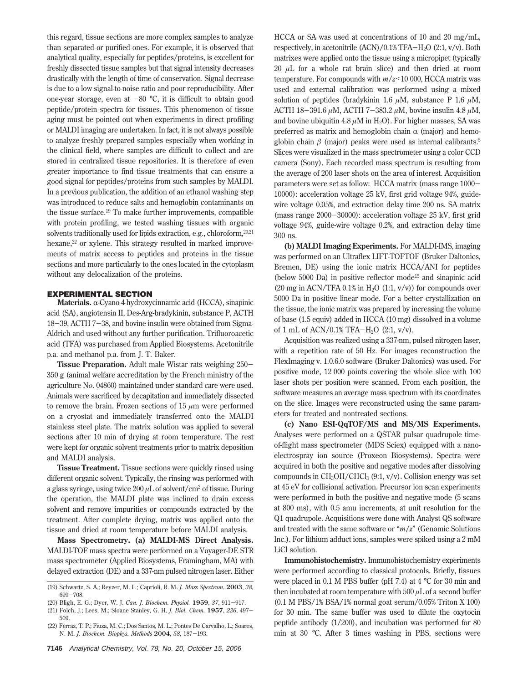this regard, tissue sections are more complex samples to analyze than separated or purified ones. For example, it is observed that analytical quality, especially for peptides/proteins, is excellent for freshly dissected tissue samples but that signal intensity decreases drastically with the length of time of conservation. Signal decrease is due to a low signal-to-noise ratio and poor reproducibility. After one-year storage, even at  $-80$  °C, it is difficult to obtain good peptide/protein spectra for tissues. This phenomenon of tissue aging must be pointed out when experiments in direct profiling or MALDI imaging are undertaken. In fact, it is not always possible to analyze freshly prepared samples especially when working in the clinical field, where samples are difficult to collect and are stored in centralized tissue repositories. It is therefore of even greater importance to find tissue treatments that can ensure a good signal for peptides/proteins from such samples by MALDI. In a previous publication, the addition of an ethanol washing step was introduced to reduce salts and hemoglobin contaminants on the tissue surface.19 To make further improvements, compatible with protein profiling, we tested washing tissues with organic solvents traditionally used for lipids extraction, e.g., chloroform,  $^{20,21}$ hexane,<sup>22</sup> or xylene. This strategy resulted in marked improvements of matrix access to peptides and proteins in the tissue sections and more particularly to the ones located in the cytoplasm without any delocalization of the proteins.

## **EXPERIMENTAL SECTION**

**Materials.** α-Cyano-4-hydroxycinnamic acid (HCCA), sinapinic acid (SA), angiotensin II, Des-Arg-bradykinin, substance P, ACTH <sup>18</sup>-39, ACTH 7-38, and bovine insulin were obtained from Sigma-Aldrich and used without any further purification. Trifluoroacetic acid (TFA) was purchased from Applied Biosystems. Acetonitrile p.a. and methanol p.a. from J. T. Baker.

**Tissue Preparation.** Adult male Wistar rats weighing 250- 350 g (animal welfare accreditation by the French ministry of the agriculture No. 04860) maintained under standard care were used. Animals were sacrificed by decapitation and immediately dissected to remove the brain. Frozen sections of 15 *µ*m were performed on a cryostat and immediately transferred onto the MALDI stainless steel plate. The matrix solution was applied to several sections after 10 min of drying at room temperature. The rest were kept for organic solvent treatments prior to matrix deposition and MALDI analysis.

**Tissue Treatment.** Tissue sections were quickly rinsed using different organic solvent. Typically, the rinsing was performed with a glass syringe, using twice  $200 \mu L$  of solvent/cm<sup>2</sup> of tissue. During the operation, the MALDI plate was inclined to drain excess solvent and remove impurities or compounds extracted by the treatment. After complete drying, matrix was applied onto the tissue and dried at room temperature before MALDI analysis.

**Mass Spectrometry. (a) MALDI-MS Direct Analysis.** MALDI-TOF mass spectra were performed on a Voyager-DE STR mass spectrometer (Applied Biosystems, Framingham, MA) with delayed extraction (DE) and a 337-nm pulsed nitrogen laser. Either

(19) Schwartz, S. A.; Reyzer, M. L.; Caprioli, R. M. *J. Mass Spectrom.* **2003**, *38*, <sup>699</sup>-708.

HCCA or SA was used at concentrations of 10 and 20 mg/mL, respectively, in acetonitrile (ACN)/0.1% TFA-H2O (2:1, v/v). Both matrixes were applied onto the tissue using a micropipet (typically 20 *µ*L for a whole rat brain slice) and then dried at room temperature. For compounds with *<sup>m</sup>*/*z*<10 000, HCCA matrix was used and external calibration was performed using a mixed solution of peptides (bradykinin 1.6 *µ*M, substance P 1.6 *µ*M, ACTH 18-391.6 *<sup>µ</sup>*M, ACTH 7-383.2 *<sup>µ</sup>*M, bovine insulin 4.8 *<sup>µ</sup>*M, and bovine ubiquitin 4.8  $\mu$ M in H<sub>2</sub>O). For higher masses, SA was preferred as matrix and hemoglobin chain  $\alpha$  (major) and hemoglobin chain  $\beta$  (major) peaks were used as internal calibrants.<sup>5</sup> Slices were visualized in the mass spectrometer using a color CCD camera (Sony). Each recorded mass spectrum is resulting from the average of 200 laser shots on the area of interest. Acquisition parameters were set as follow: HCCA matrix (mass range 1000- 10000): acceleration voltage 25 kV, first grid voltage 94%, guidewire voltage 0.05%, and extraction delay time 200 ns. SA matrix (mass range 2000-30000): acceleration voltage 25 kV, first grid voltage 94%, guide-wire voltage 0.2%, and extraction delay time 300 ns.

**(b) MALDI Imaging Experiments.** For MALDI-IMS, imaging was performed on an Ultraflex LIFT-TOFTOF (Bruker Daltonics, Bremen, DE) using the ionic matrix HCCA/ANI for peptides (below 5000 Da) in positive reflector mode15 and sinapinic acid (20 mg in ACN/TFA 0.1% in H<sub>2</sub>O (1:1,  $v/v$ )) for compounds over 5000 Da in positive linear mode. For a better crystallization on the tissue, the ionic matrix was prepared by increasing the volume of base (1.5 equiv) added in HCCA (10 mg) dissolved in a volume of 1 mL of ACN/0.1% TFA-H<sub>2</sub>O  $(2:1, v/v)$ .

Acquisition was realized using a 337-nm, pulsed nitrogen laser, with a repetition rate of 50 Hz. For images reconstruction the FlexImaging v. 1.0.6.0 software (Bruker Daltonics) was used. For positive mode, 12 000 points covering the whole slice with 100 laser shots per position were scanned. From each position, the software measures an average mass spectrum with its coordinates on the slice. Images were reconstructed using the same parameters for treated and nontreated sections.

**(c) Nano ESI-QqTOF/MS and MS/MS Experiments.** Analyses were performed on a QSTAR pulsar quadrupole timeof-flight mass spectrometer (MDS Sciex) equipped with a nanoelectrospray ion source (Proxeon Biosystems). Spectra were acquired in both the positive and negative modes after dissolving compounds in CH3OH/CHCl3 (9:1, v/v). Collision energy was set at 45 eV for collisional activation. Precursor ion scan experiments were performed in both the positive and negative mode (5 scans at 800 ms), with 0.5 amu increments, at unit resolution for the Q1 quadrupole. Acquisitions were done with Analyst QS software and treated with the same software or "*m*/*z*" (Genomic Solutions Inc.). For lithium adduct ions, samples were spiked using a 2 mM LiCl solution.

**Immunohistochemistry.** Immunohistochemistry experiments were performed according to classical protocols. Briefly, tissues were placed in 0.1 M PBS buffer (pH 7.4) at 4 °C for 30 min and then incubated at room temperature with 500 *µ*L of a second buffer (0.1 M PBS/1% BSA/1% normal goat serum/0.05% Triton X 100) for 30 min. The same buffer was used to dilute the oxytocin peptide antibody (1/200), and incubation was performed for 80 min at 30 °C. After 3 times washing in PBS, sections were

<sup>(20)</sup> Bligh, E. G.; Dyer, W. J. *Can. J. Biochem. Physiol.* **<sup>1959</sup>**, *<sup>37</sup>*, 911-917.

<sup>(21)</sup> Folch, J.; Lees, M.; Sloane Stanley, G. H. *J. Biol. Chem.* **<sup>1957</sup>**, *<sup>226</sup>*, 497- 509.

<sup>(22)</sup> Ferraz, T. P.; Fiuza, M. C.; Dos Santos, M. L.; Pontes De Carvalho, L.; Soares, N. M. *J. Biochem. Biophys. Methods* **<sup>2004</sup>**, *<sup>58</sup>*, 187-193.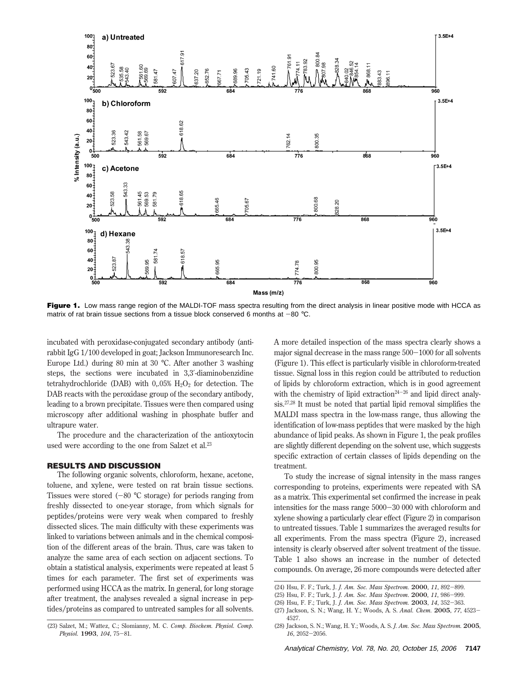

**Figure 1.** Low mass range region of the MALDI-TOF mass spectra resulting from the direct analysis in linear positive mode with HCCA as matrix of rat brain tissue sections from a tissue block conserved 6 months at  $-80$  °C.

incubated with peroxidase-conjugated secondary antibody (antirabbit IgG 1/100 developed in goat; Jackson Immunoresearch Inc. Europe Ltd.) during 80 min at 30 °C. After another 3 washing steps, the sections were incubated in 3,3′-diaminobenzidine tetrahydrochloride (DAB) with  $0,05\%$  H<sub>2</sub>O<sub>2</sub> for detection. The DAB reacts with the peroxidase group of the secondary antibody, leading to a brown precipitate. Tissues were then compared using microscopy after additional washing in phosphate buffer and ultrapure water.

The procedure and the characterization of the antioxytocin used were according to the one from Salzet et al.<sup>23</sup>

## **RESULTS AND DISCUSSION**

The following organic solvents, chloroform, hexane, acetone, toluene, and xylene, were tested on rat brain tissue sections. Tissues were stored  $(-80 \degree C \text{ storage})$  for periods ranging from freshly dissected to one-year storage, from which signals for peptides/proteins were very weak when compared to freshly dissected slices. The main difficulty with these experiments was linked to variations between animals and in the chemical composition of the different areas of the brain. Thus, care was taken to analyze the same area of each section on adjacent sections. To obtain a statistical analysis, experiments were repeated at least 5 times for each parameter. The first set of experiments was performed using HCCA as the matrix. In general, for long storage after treatment, the analyses revealed a signal increase in peptides/proteins as compared to untreated samples for all solvents. A more detailed inspection of the mass spectra clearly shows a major signal decrease in the mass range 500-1000 for all solvents (Figure 1). This effect is particularly visible in chloroform-treated tissue. Signal loss in this region could be attributed to reduction of lipids by chloroform extraction, which is in good agreement with the chemistry of lipid extraction<sup>24-26</sup> and lipid direct analysis.27,28 It must be noted that partial lipid removal simplifies the MALDI mass spectra in the low-mass range, thus allowing the identification of low-mass peptides that were masked by the high abundance of lipid peaks. As shown in Figure 1, the peak profiles are slightly different depending on the solvent use, which suggests specific extraction of certain classes of lipids depending on the treatment.

To study the increase of signal intensity in the mass ranges corresponding to proteins, experiments were repeated with SA as a matrix. This experimental set confirmed the increase in peak intensities for the mass range 5000-30 000 with chloroform and xylene showing a particularly clear effect (Figure 2) in comparison to untreated tissues. Table 1 summarizes the averaged results for all experiments. From the mass spectra (Figure 2), increased intensity is clearly observed after solvent treatment of the tissue. Table 1 also shows an increase in the number of detected compounds. On average, 26 more compounds were detected after

<sup>(24)</sup> Hsu, F. F.; Turk, J. *J. Am. Soc. Mass Spectrom.* **<sup>2000</sup>**, *<sup>11</sup>*, 892-899.

<sup>(25)</sup> Hsu, F. F.; Turk, J. *J. Am. Soc. Mass Spectrom*. **<sup>2000</sup>**, *<sup>11</sup>*, 986-999.

<sup>(26)</sup> Hsu, F. F.; Turk, J. *J. Am. Soc. Mass Spectrom.* **<sup>2003</sup>**, *<sup>14</sup>*, 352-363.

<sup>(27)</sup> Jackson, S. N.; Wang, H. Y.; Woods, A. S. *Anal. Chem.* **<sup>2005</sup>**, *<sup>77</sup>*, 4523- 4527.

<sup>(23)</sup> Salzet, M.; Wattez, C.; Slomianny, M. C. *Comp. Biochem. Physiol. Comp. Physiol.* **<sup>1993</sup>**, *<sup>104</sup>*, 75-81.

<sup>(28)</sup> Jackson, S. N.; Wang, H. Y.; Woods, A. S. *J. Am. Soc. Mass Spectrom.* **2005**, *<sup>16</sup>*, 2052-2056.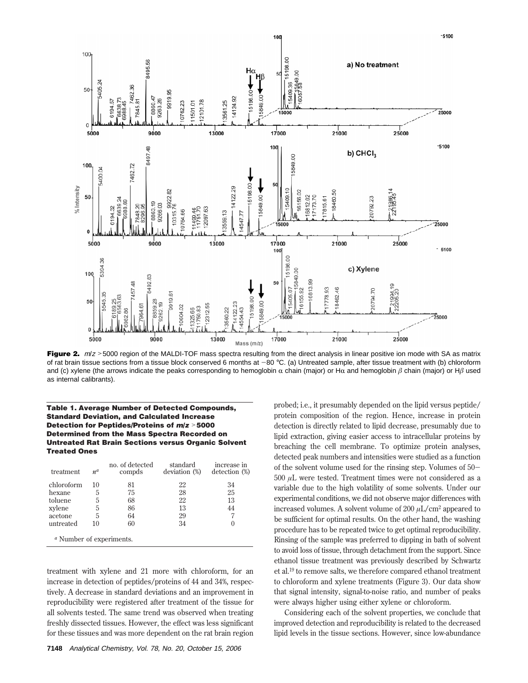

**Figure 2.**  $m/z > 5000$  region of the MALDI-TOF mass spectra resulting from the direct analysis in linear positive ion mode with SA as matrix of rat brain tissue sections from a tissue block conserved 6 months at  $-80$  °C. (a) Untreated sample, after tissue treatment with (b) chloroform and (c) xylene (the arrows indicate the peaks corresponding to hemoglobin  $\alpha$  chain (major) or H $\alpha$  and hemoglobin  $\beta$  chain (major) or H $\beta$  used as internal calibrants).

#### **Table 1. Average Number of Detected Compounds, Standard Deviation, and Calculated Increase Detection for Peptides/Proteins of <sup>m</sup>/<sup>z</sup>** >**<sup>5000</sup> Determined from the Mass Spectra Recorded on Untreated Rat Brain Sections versus Organic Solvent Treated Ones**

| treatment                                  | $n^a$ | no. of detected<br>compds | standard<br>deviation (%) | increase in<br>detection (%) |  |
|--------------------------------------------|-------|---------------------------|---------------------------|------------------------------|--|
| chloroform                                 | 10    | 81                        | 22                        | 34                           |  |
| hexane                                     | 5     | 75                        | 28                        | 25                           |  |
| toluene                                    | 5     | 68                        | 22                        | 13                           |  |
| xylene                                     | 5     | 86                        | 13                        | 44                           |  |
| acetone                                    | 5     | 64                        | 29                        |                              |  |
| untreated                                  | 10    | 60                        | 34                        |                              |  |
| <sup><i>a</i></sup> Number of experiments. |       |                           |                           |                              |  |

treatment with xylene and 21 more with chloroform, for an increase in detection of peptides/proteins of 44 and 34%, respectively. A decrease in standard deviations and an improvement in reproducibility were registered after treatment of the tissue for all solvents tested. The same trend was observed when treating freshly dissected tissues. However, the effect was less significant for these tissues and was more dependent on the rat brain region

probed; i.e., it presumably depended on the lipid versus peptide/ protein composition of the region. Hence, increase in protein detection is directly related to lipid decrease, presumably due to lipid extraction, giving easier access to intracellular proteins by breaching the cell membrane. To optimize protein analyses, detected peak numbers and intensities were studied as a function of the solvent volume used for the rinsing step. Volumes of 50- 500 *µ*L were tested. Treatment times were not considered as a variable due to the high volatility of some solvents. Under our experimental conditions, we did not observe major differences with increased volumes. A solvent volume of 200 *µ*L/cm2 appeared to be sufficient for optimal results. On the other hand, the washing procedure has to be repeated twice to get optimal reproducibility. Rinsing of the sample was preferred to dipping in bath of solvent to avoid loss of tissue, through detachment from the support. Since ethanol tissue treatment was previously described by Schwartz et al.19 to remove salts, we therefore compared ethanol treatment to chloroform and xylene treatments (Figure 3). Our data show that signal intensity, signal-to-noise ratio, and number of peaks were always higher using either xylene or chloroform.

Considering each of the solvent properties, we conclude that improved detection and reproducibility is related to the decreased lipid levels in the tissue sections. However, since low-abundance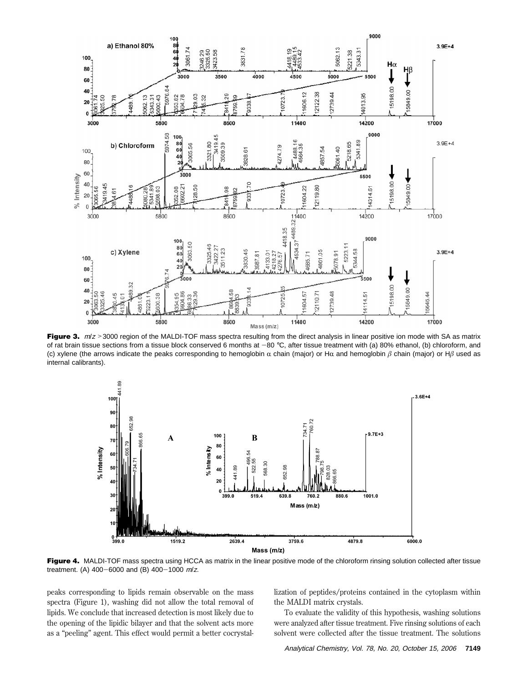

Figure 3.  $m/z > 3000$  region of the MALDI-TOF mass spectra resulting from the direct analysis in linear positive ion mode with SA as matrix of rat brain tissue sections from a tissue block conserved 6 months at  $-80$  °C, after tissue treatment with (a) 80% ethanol, (b) chloroform, and (c) xylene (the arrows indicate the peaks corresponding to hemoglobin  $\alpha$  chain (major) or H $\alpha$  and hemoglobin  $\beta$  chain (major) or H $\beta$  used as internal calibrants).



Figure 4. MALDI-TOF mass spectra using HCCA as matrix in the linear positive mode of the chloroform rinsing solution collected after tissue treatment. (A)  $400-6000$  and (B)  $400-1000$  m/z.

peaks corresponding to lipids remain observable on the mass spectra (Figure 1), washing did not allow the total removal of lipids. We conclude that increased detection is most likely due to the opening of the lipidic bilayer and that the solvent acts more as a "peeling" agent. This effect would permit a better cocrystallization of peptides/proteins contained in the cytoplasm within the MALDI matrix crystals.

To evaluate the validity of this hypothesis, washing solutions were analyzed after tissue treatment. Five rinsing solutions of each solvent were collected after the tissue treatment. The solutions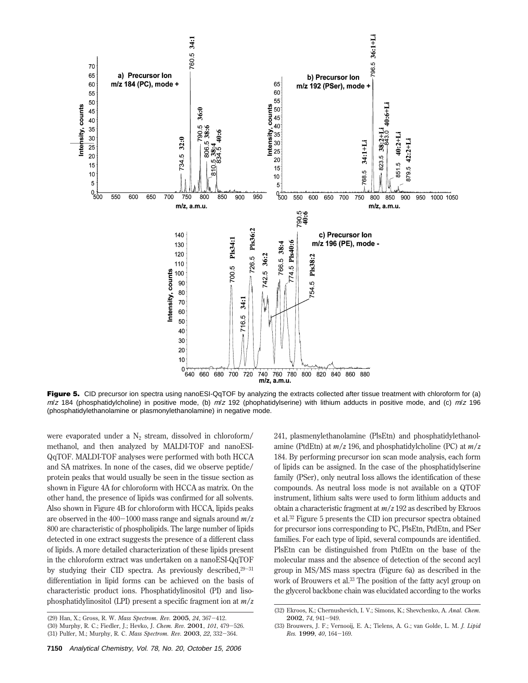

**Figure 5.** CID precursor ion spectra using nanoESI-QqTOF by analyzing the extracts collected after tissue treatment with chloroform for (a)  $m/z$  184 (phosphatidylcholine) in positive mode, (b)  $m/z$  192 (phophatidylserine) with lithium adducts in positive mode, and (c)  $m/z$  196 (phosphatidylethanolamine or plasmonylethanolamine) in negative mode.

were evaporated under a  $N_2$  stream, dissolved in chloroform/ methanol, and then analyzed by MALDI-TOF and nanoESI-QqTOF. MALDI-TOF analyses were performed with both HCCA and SA matrixes. In none of the cases, did we observe peptide/ protein peaks that would usually be seen in the tissue section as shown in Figure 4A for chloroform with HCCA as matrix. On the other hand, the presence of lipids was confirmed for all solvents. Also shown in Figure 4B for chloroform with HCCA, lipids peaks are observed in the 400-1000 mass range and signals around *<sup>m</sup>*/*<sup>z</sup>* 800 are characteristic of phospholipids. The large number of lipids detected in one extract suggests the presence of a different class of lipids. A more detailed characterization of these lipids present in the chloroform extract was undertaken on a nanoESI-QqTOF by studying their CID spectra. As previously described, $29-31$ differentiation in lipid forms can be achieved on the basis of characteristic product ions. Phosphatidylinositol (PI) and lisophosphatidylinositol (LPI) present a specific fragment ion at *m*/*z*

241, plasmenylethanolamine (PlsEtn) and phosphatidylethanolamine (PtdEtn) at *m*/*z* 196, and phosphatidylcholine (PC) at *m*/*z* 184. By performing precursor ion scan mode analysis, each form of lipids can be assigned. In the case of the phosphatidylserine family (PSer), only neutral loss allows the identification of these compounds. As neutral loss mode is not available on a QTOF instrument, lithium salts were used to form lithium adducts and obtain a characteristic fragment at *m*/*z* 192 as described by Ekroos et al.32 Figure 5 presents the CID ion precursor spectra obtained for precursor ions corresponding to PC, PlsEtn, PtdEtn, and PSer families. For each type of lipid, several compounds are identified. PlsEtn can be distinguished from PtdEtn on the base of the molecular mass and the absence of detection of the second acyl group in MS/MS mass spectra (Figure 6a) as described in the work of Brouwers et al.<sup>33</sup> The position of the fatty acyl group on the glycerol backbone chain was elucidated according to the works

<sup>(29)</sup> Han, X.; Gross, R. W. *Mass Spectrom. Rev.* **<sup>2005</sup>**, *<sup>24</sup>*, 367-412. (30) Murphy, R. C.; Fiedler, J.; Hevko, J. *Chem. Rev.* **<sup>2001</sup>**, *<sup>101</sup>*, 479-526. (31) Pulfer, M.; Murphy, R. C. *Mass Spectrom. Rev.* **<sup>2003</sup>**, *<sup>22</sup>*, 332-364.

<sup>(32)</sup> Ekroos, K.; Chernushevich, I. V.; Simons, K.; Shevchenko, A. *Anal. Chem.* **<sup>2002</sup>**, *<sup>74</sup>*, 941-949.

<sup>(33)</sup> Brouwers, J. F.; Vernooij, E. A.; Tielens, A. G.; van Golde, L. M. *J. Lipid Res.* **<sup>1999</sup>**, *<sup>40</sup>*, 164-169.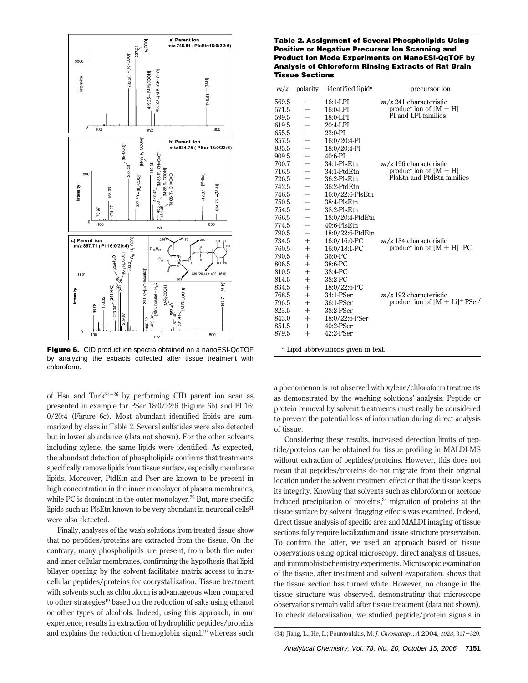

**Figure 6.** CID product ion spectra obtained on a nanoESI-QqTOF by analyzing the extracts collected after tissue treatment with chloroform.

of Hsu and Turk<sup>24-26</sup> by performing CID parent ion scan as presented in example for PSer 18:0/22:6 (Figure 6b) and PI 16: 0/20:4 (Figure 6c). Most abundant identified lipids are summarized by class in Table 2. Several sulfatides were also detected but in lower abundance (data not shown). For the other solvents including xylene, the same lipids were identified. As expected, the abundant detection of phospholipids confirms that treatments specifically remove lipids from tissue surface, especially membrane lipids. Moreover, PtdEtn and Pser are known to be present in high concentration in the inner monolayer of plasma membranes, while PC is dominant in the outer monolayer.<sup>29</sup> But, more specific lipids such as PlsEtn known to be very abundant in neuronal cells<sup>31</sup> were also detected.

Finally, analyses of the wash solutions from treated tissue show that no peptides/proteins are extracted from the tissue. On the contrary, many phospholipids are present, from both the outer and inner cellular membranes, confirming the hypothesis that lipid bilayer opening by the solvent facilitates matrix access to intracellular peptides/proteins for cocrystallization. Tissue treatment with solvents such as chloroform is advantageous when compared to other strategies19 based on the reduction of salts using ethanol or other types of alcohols. Indeed, using this approach, in our experience, results in extraction of hydrophilic peptides/proteins and explains the reduction of hemoglobin signal,<sup>19</sup> whereas such



| m/z   | polarity                 | identified lipid <sup>a</sup>          | precursor ion                                            |
|-------|--------------------------|----------------------------------------|----------------------------------------------------------|
| 569.5 |                          | 16:1-LPI                               | $m/z$ 241 characteristic                                 |
| 571.5 |                          | 16:0-LPI                               | product ion of $[M - H]$ <sup>-</sup>                    |
| 599.5 |                          | $18:0-LPI$                             | PI and LPI families                                      |
| 619.5 |                          | 20:4-LPI                               |                                                          |
| 655.5 | —                        | 22:0-PI                                |                                                          |
| 857.5 |                          | 16:0/20:4-PI                           |                                                          |
| 885.5 | —                        | $18:0/20:4-PI$                         |                                                          |
| 909.5 |                          | $40:6$ -PI                             |                                                          |
| 700.7 |                          | 34:1-PlsEtn                            | $m/z$ 196 characteristic                                 |
| 716.5 | —                        | 34:1-PtdEtn                            | product ion of $[M - H]$ <sup>-</sup>                    |
| 726.5 |                          | 36:2-PlsEtn                            | PlsEtn and PtdEtn families                               |
| 742.5 | —                        | 36:2-PtdEtn                            |                                                          |
| 746.5 |                          | 16:0/22:6-PlsEtn                       |                                                          |
| 750.5 |                          | 38:4-PlsEtn                            |                                                          |
| 754.5 |                          | 38:2-PlsEtn                            |                                                          |
| 766.5 | —                        | 18:0/20:4-PtdEtn                       |                                                          |
| 774.5 | —                        | 40:6-PlsEtn                            |                                                          |
| 790.5 | $\overline{\phantom{0}}$ | 18:0/22:6-PtdEtn                       |                                                          |
| 734.5 | $^{+}$                   | 16:0/16:0-PC                           | $m/z$ 184 characteristic                                 |
| 760.5 | $+$                      | 16:0/18:1-PC                           | product ion of $[M + H]$ <sup>+</sup> PC                 |
| 790.5 | $^{+}$                   | 36:0-PC                                |                                                          |
| 806.5 | $^{+}$                   | 38:6-PC                                |                                                          |
| 810.5 | $^{+}$                   | 38:4-PC                                |                                                          |
| 814.5 | $^{+}$                   | 38:2-PC                                |                                                          |
| 834.5 | $^{+}$                   | 18:0/22:6-PC                           |                                                          |
| 768.5 | $+$                      | 34:1-PSer                              | $m/z$ 192 characteristic                                 |
| 796.5 | $^{+}$                   | 36:1-PSer                              | product ion of $[M + Li]$ <sup>+</sup> PSer <sup>t</sup> |
| 823.5 | $+$                      | 38:2-PSer                              |                                                          |
| 843.0 | $^{+}$                   | 18:0/22:6-PSer                         |                                                          |
| 851.5 | $^{+}$                   | $40:2$ - $P$ Ser                       |                                                          |
| 879.5 | $^{+}$                   | 42:2-PSer                              |                                                          |
|       |                          | - A I inid abbreviations sixon in text |                                                          |

*<sup>a</sup>* Lipid abbreviations given in text.

a phenomenon is not observed with xylene/chloroform treatments as demonstrated by the washing solutions' analysis. Peptide or protein removal by solvent treatments must really be considered to prevent the potential loss of information during direct analysis of tissue.

Considering these results, increased detection limits of peptide/proteins can be obtained for tissue profiling in MALDI-MS without extraction of peptides/proteins. However, this does not mean that peptides/proteins do not migrate from their original location under the solvent treatment effect or that the tissue keeps its integrity. Knowing that solvents such as chloroform or acetone induced precipitation of proteins,34 migration of proteins at the tissue surface by solvent dragging effects was examined. Indeed, direct tissue analysis of specific area and MALDI imaging of tissue sections fully require localization and tissue structure preservation. To confirm the latter, we used an approach based on tissue observations using optical microscopy, direct analysis of tissues, and immunohistochemistry experiments. Microscopic examination of the tissue, after treatment and solvent evaporation, shows that the tissue section has turned white. However, no change in the tissue structure was observed, demonstrating that microscope observations remain valid after tissue treatment (data not shown). To check delocalization, we studied peptide/protein signals in

<sup>(34)</sup> Jiang, L.; He, L.; Fountoulakis, M. *J. Chromatogr., A* **<sup>2004</sup>**, *<sup>1023</sup>*, 317-320.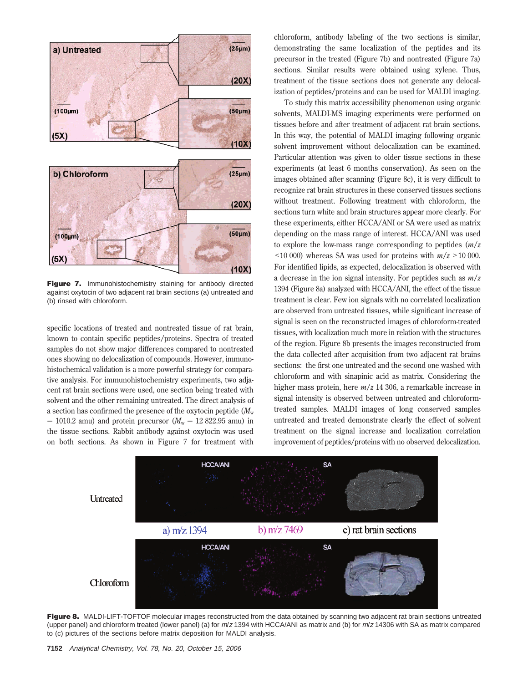

**Figure 7.** Immunohistochemistry staining for antibody directed against oxytocin of two adjacent rat brain sections (a) untreated and (b) rinsed with chloroform.

specific locations of treated and nontreated tissue of rat brain, known to contain specific peptides/proteins. Spectra of treated samples do not show major differences compared to nontreated ones showing no delocalization of compounds. However, immunohistochemical validation is a more powerful strategy for comparative analysis. For immunohistochemistry experiments, two adjacent rat brain sections were used, one section being treated with solvent and the other remaining untreated. The direct analysis of a section has confirmed the presence of the oxytocin peptide  $(M<sub>w</sub>)$  $= 1010.2$  amu) and protein precursor ( $M_w = 12822.95$  amu) in the tissue sections. Rabbit antibody against oxytocin was used on both sections. As shown in Figure 7 for treatment with chloroform, antibody labeling of the two sections is similar, demonstrating the same localization of the peptides and its precursor in the treated (Figure 7b) and nontreated (Figure 7a) sections. Similar results were obtained using xylene. Thus, treatment of the tissue sections does not generate any delocalization of peptides/proteins and can be used for MALDI imaging.

To study this matrix accessibility phenomenon using organic solvents, MALDI-MS imaging experiments were performed on tissues before and after treatment of adjacent rat brain sections. In this way, the potential of MALDI imaging following organic solvent improvement without delocalization can be examined. Particular attention was given to older tissue sections in these experiments (at least 6 months conservation). As seen on the images obtained after scanning (Figure 8c), it is very difficult to recognize rat brain structures in these conserved tissues sections without treatment. Following treatment with chloroform, the sections turn white and brain structures appear more clearly. For these experiments, either HCCA/ANI or SA were used as matrix depending on the mass range of interest. HCCA/ANI was used to explore the low-mass range corresponding to peptides (*m*/*z*  $10000$  whereas SA was used for proteins with  $m/z > 10000$ . For identified lipids, as expected, delocalization is observed with a decrease in the ion signal intensity. For peptides such as *m*/*z* 1394 (Figure 8a) analyzed with HCCA/ANI, the effect of the tissue treatment is clear. Few ion signals with no correlated localization are observed from untreated tissues, while significant increase of signal is seen on the reconstructed images of chloroform-treated tissues, with localization much more in relation with the structures of the region. Figure 8b presents the images reconstructed from the data collected after acquisition from two adjacent rat brains sections: the first one untreated and the second one washed with chloroform and with sinapinic acid as matrix. Considering the higher mass protein, here *m*/*z* 14 306, a remarkable increase in signal intensity is observed between untreated and chloroformtreated samples. MALDI images of long conserved samples untreated and treated demonstrate clearly the effect of solvent treatment on the signal increase and localization correlation improvement of peptides/proteins with no observed delocalization.



Figure 8. MALDI-LIFT-TOFTOF molecular images reconstructed from the data obtained by scanning two adjacent rat brain sections untreated (upper panel) and chloroform treated (lower panel) (a) for m/z 1394 with HCCA/ANI as matrix and (b) for m/z 14306 with SA as matrix compared to (c) pictures of the sections before matrix deposition for MALDI analysis.